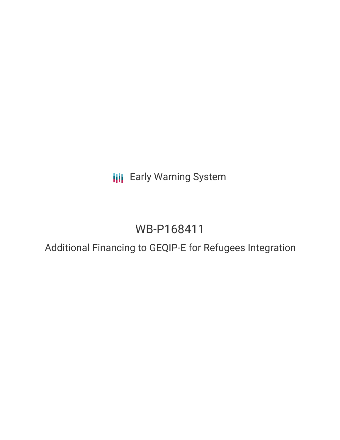**III** Early Warning System

# WB-P168411

## Additional Financing to GEQIP-E for Refugees Integration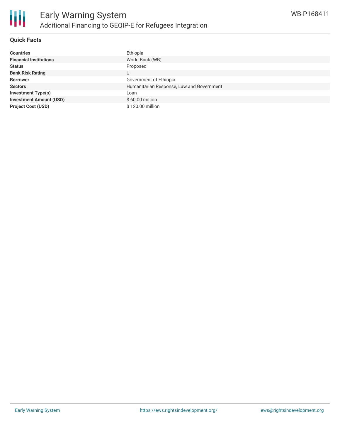

#### **Quick Facts**

| <b>Countries</b>               | Ethiopia                                  |
|--------------------------------|-------------------------------------------|
| <b>Financial Institutions</b>  | World Bank (WB)                           |
| <b>Status</b>                  | Proposed                                  |
| <b>Bank Risk Rating</b>        | U                                         |
| <b>Borrower</b>                | Government of Ethiopia                    |
| <b>Sectors</b>                 | Humanitarian Response, Law and Government |
| <b>Investment Type(s)</b>      | Loan                                      |
| <b>Investment Amount (USD)</b> | $$60.00$ million                          |
| <b>Project Cost (USD)</b>      | \$120.00 million                          |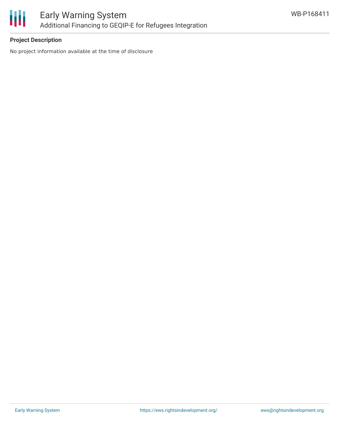

### **Project Description**

No project information available at the time of disclosure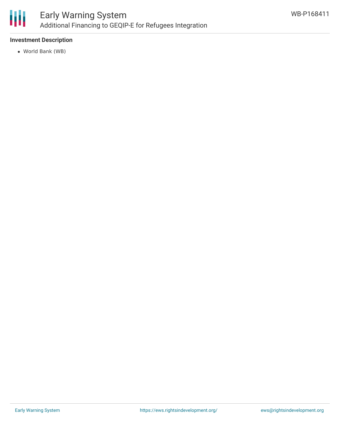

#### **Investment Description**

World Bank (WB)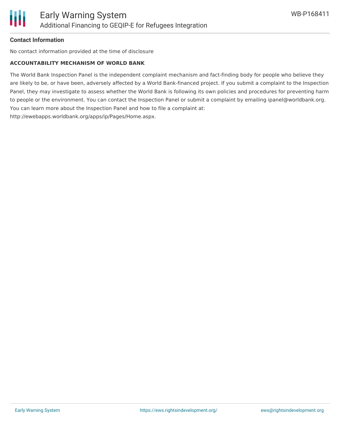

#### **Contact Information**

No contact information provided at the time of disclosure

#### **ACCOUNTABILITY MECHANISM OF WORLD BANK**

The World Bank Inspection Panel is the independent complaint mechanism and fact-finding body for people who believe they are likely to be, or have been, adversely affected by a World Bank-financed project. If you submit a complaint to the Inspection Panel, they may investigate to assess whether the World Bank is following its own policies and procedures for preventing harm to people or the environment. You can contact the Inspection Panel or submit a complaint by emailing ipanel@worldbank.org. You can learn more about the Inspection Panel and how to file a complaint at: http://ewebapps.worldbank.org/apps/ip/Pages/Home.aspx.